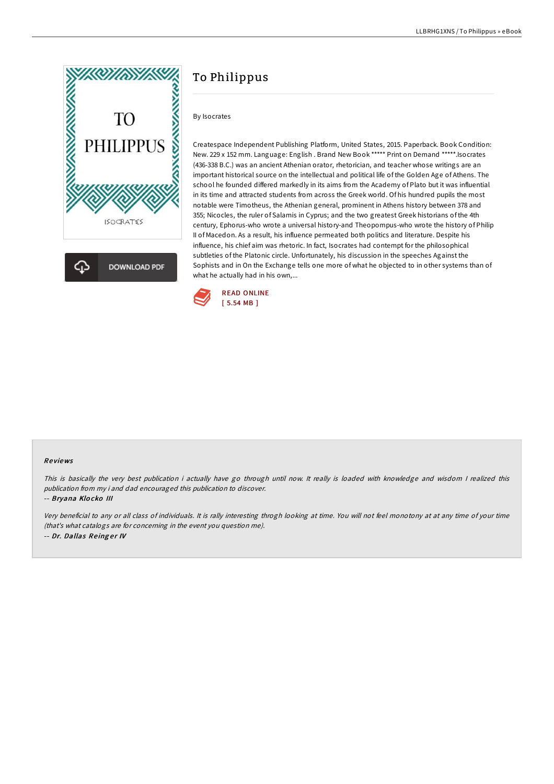



# To Philippus

By Isocrates

Createspace Independent Publishing Platform, United States, 2015. Paperback. Book Condition: New. 229 x 152 mm. Language: English . Brand New Book \*\*\*\*\* Print on Demand \*\*\*\*\*.Isocrates (436-338 B.C.) was an ancient Athenian orator, rhetorician, and teacher whose writings are an important historical source on the intellectual and political life of the Golden Age of Athens. The school he founded differed markedly in its aims from the Academy of Plato but it was influential in its time and attracted students from across the Greek world. Of his hundred pupils the most notable were Timotheus, the Athenian general, prominent in Athens history between 378 and 355; Nicocles, the ruler of Salamis in Cyprus; and the two greatest Greek historians of the 4th century, Ephorus-who wrote a universal history-and Theopompus-who wrote the history of Philip II of Macedon. As a result, his influence permeated both politics and literature. Despite his influence, his chief aim was rhetoric. In fact, Isocrates had contempt for the philosophical subtleties of the Platonic circle. Unfortunately, his discussion in the speeches Against the Sophists and in On the Exchange tells one more of what he objected to in other systems than of what he actually had in his own,...



### Re views

This is basically the very best publication i actually have go through until now. It really is loaded with knowledge and wisdom I realized this publication from my i and dad encouraged this publication to discover.

#### -- Bryana Klo cko III

Very beneficial to any or all class of individuals. It is rally interesting throgh looking at time. You will not feel monotony at at any time of your time (that's what catalogs are for concerning in the event you question me). -- Dr. Dallas Reinger IV